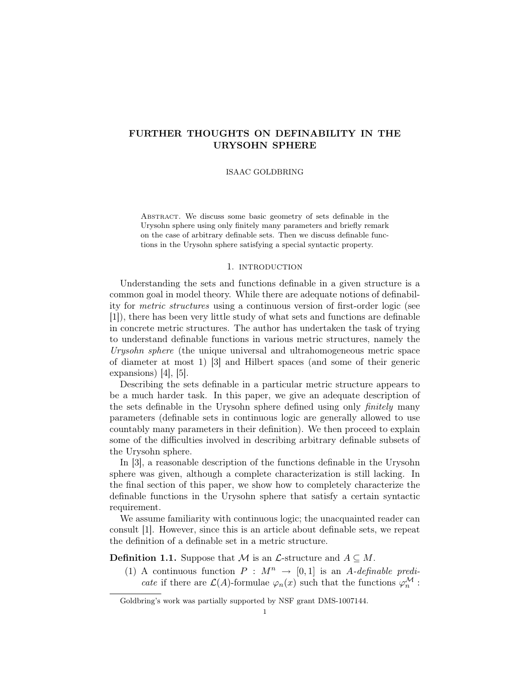# FURTHER THOUGHTS ON DEFINABILITY IN THE URYSOHN SPHERE

### ISAAC GOLDBRING

Abstract. We discuss some basic geometry of sets definable in the Urysohn sphere using only finitely many parameters and briefly remark on the case of arbitrary definable sets. Then we discuss definable functions in the Urysohn sphere satisfying a special syntactic property.

## 1. introduction

Understanding the sets and functions definable in a given structure is a common goal in model theory. While there are adequate notions of definability for metric structures using a continuous version of first-order logic (see [1]), there has been very little study of what sets and functions are definable in concrete metric structures. The author has undertaken the task of trying to understand definable functions in various metric structures, namely the Urysohn sphere (the unique universal and ultrahomogeneous metric space of diameter at most 1) [3] and Hilbert spaces (and some of their generic expansions) [4], [5].

Describing the sets definable in a particular metric structure appears to be a much harder task. In this paper, we give an adequate description of the sets definable in the Urysohn sphere defined using only finitely many parameters (definable sets in continuous logic are generally allowed to use countably many parameters in their definition). We then proceed to explain some of the difficulties involved in describing arbitrary definable subsets of the Urysohn sphere.

In [3], a reasonable description of the functions definable in the Urysohn sphere was given, although a complete characterization is still lacking. In the final section of this paper, we show how to completely characterize the definable functions in the Urysohn sphere that satisfy a certain syntactic requirement.

We assume familiarity with continuous logic; the unacquainted reader can consult [1]. However, since this is an article about definable sets, we repeat the definition of a definable set in a metric structure.

**Definition 1.1.** Suppose that M is an  $\mathcal{L}$ -structure and  $A \subseteq M$ .

(1) A continuous function  $P : M^n \rightarrow [0, 1]$  is an A-definable predi*cate* if there are  $\mathcal{L}(A)$ -formulae  $\varphi_n(x)$  such that the functions  $\varphi_n^{\mathcal{M}}$ :

Goldbring's work was partially supported by NSF grant DMS-1007144.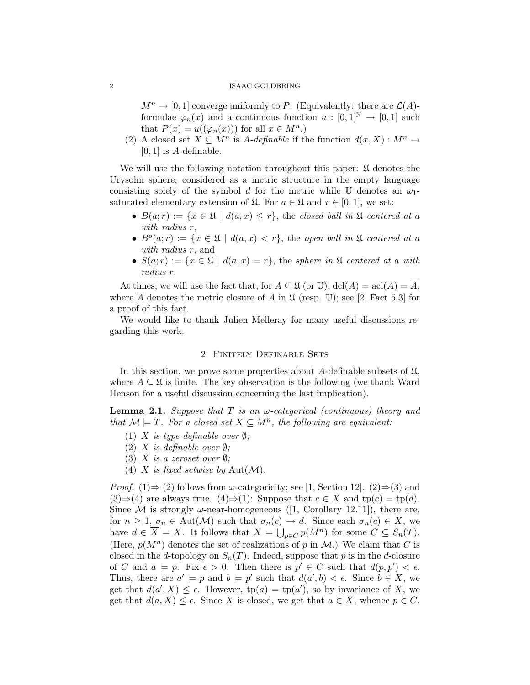#### 2 ISAAC GOLDBRING

 $M^n \to [0, 1]$  converge uniformly to P. (Equivalently: there are  $\mathcal{L}(A)$ formulae  $\varphi_n(x)$  and a continuous function  $u : [0,1]^{\mathbb{N}} \to [0,1]$  such that  $P(x) = u((\varphi_n(x)))$  for all  $x \in M^n$ .

(2) A closed set  $X \subseteq M^n$  is A-definable if the function  $d(x, X) : M^n \to$  $[0, 1]$  is A-definable.

We will use the following notation throughout this paper:  $\mathfrak U$  denotes the Urysohn sphere, considered as a metric structure in the empty language consisting solely of the symbol d for the metric while U denotes an  $\omega_1$ saturated elementary extension of  $\mathfrak{U}$ . For  $a \in \mathfrak{U}$  and  $r \in [0,1]$ , we set:

- $B(a;r) := \{x \in \mathfrak{U} \mid d(a,x) \leq r\}$ , the closed ball in  $\mathfrak{U}$  centered at a with radius r,
- $B<sup>o</sup>(a;r) := \{x \in \mathfrak{U} \mid d(a,x) < r\}$ , the open ball in  $\mathfrak{U}$  centered at a with *radius* r, and
- $S(a;r) := \{x \in \mathfrak{U} \mid d(a,x) = r\}$ , the sphere in  $\mathfrak{U}$  centered at a with radius r.

At times, we will use the fact that, for  $A \subseteq \mathfrak{U}$  (or U),  $dcl(A) = \text{acl}(A) = \overline{A}$ , where  $\overline{A}$  denotes the metric closure of A in  $\mathfrak U$  (resp. U); see [2, Fact 5.3] for a proof of this fact.

We would like to thank Julien Melleray for many useful discussions regarding this work.

# 2. Finitely Definable Sets

In this section, we prove some properties about A-definable subsets of  $\mathfrak{U}$ , where  $A \subseteq \mathfrak{U}$  is finite. The key observation is the following (we thank Ward Henson for a useful discussion concerning the last implication).

**Lemma 2.1.** Suppose that T is an  $\omega$ -categorical (continuous) theory and that  $\mathcal{M} \models T$ . For a closed set  $X \subseteq M^n$ , the following are equivalent:

- (1) X is type-definable over  $\emptyset$ ;
- (2) X is definable over  $\emptyset$ ;
- (3) X is a zeroset over  $\emptyset$ :
- (4) X is fixed setwise by  $Aut(M)$ .

*Proof.* (1)⇒ (2) follows from  $\omega$ -categoricity; see [1, Section 12]. (2)⇒(3) and  $(3) \Rightarrow (4)$  are always true.  $(4) \Rightarrow (1)$ : Suppose that  $c \in X$  and  $tp(c) = tp(d)$ . Since M is strongly  $\omega$ -near-homogeneous ([1, Corollary 12.11]), there are, for  $n \geq 1$ ,  $\sigma_n \in \text{Aut}(\mathcal{M})$  such that  $\sigma_n(c) \to d$ . Since each  $\sigma_n(c) \in X$ , we have  $d \in \overline{X} = X$ . It follows that  $X = \bigcup_{p \in C} p(M^n)$  for some  $C \subseteq S_n(T)$ . (Here,  $p(M^n)$  denotes the set of realizations of p in M.) We claim that C is closed in the d-topology on  $S_n(T)$ . Indeed, suppose that p is in the d-closure of C and  $a \models p$ . Fix  $\epsilon > 0$ . Then there is  $p' \in C$  such that  $d(p, p') < \epsilon$ . Thus, there are  $a' \models p$  and  $b \models p'$  such that  $d(a', b) < \epsilon$ . Since  $b \in X$ , we get that  $d(a', X) \leq \epsilon$ . However,  $tp(a) = tp(a')$ , so by invariance of X, we get that  $d(a, X) \leq \epsilon$ . Since X is closed, we get that  $a \in X$ , whence  $p \in C$ .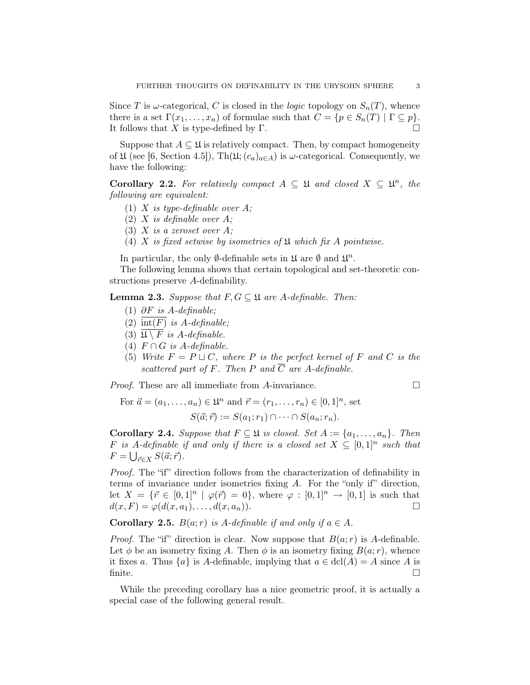Since T is  $\omega$ -categorical, C is closed in the *logic* topology on  $S_n(T)$ , whence there is a set  $\Gamma(x_1, \ldots, x_n)$  of formulae such that  $C = \{p \in S_n(T) \mid \Gamma \subseteq p\}.$ It follows that X is type-defined by Γ.  $\Box$ 

Suppose that  $A \subseteq \mathfrak{U}$  is relatively compact. Then, by compact homogeneity of  $\mathfrak U$  (see [6, Section 4.5]), Th $(\mathfrak U;(c_a)_{a\in A})$  is  $\omega$ -categorical. Consequently, we have the following:

**Corollary 2.2.** For relatively compact  $A \subseteq \mathfrak{U}$  and closed  $X \subseteq \mathfrak{U}^n$ , the following are equivalent:

- (1) X is type-definable over  $A$ ;
- (2) X is definable over  $A$ ;
- (3) X is a zeroset over  $A$ ;
- (4) X is fixed setwise by isometries of  $\mathfrak U$  which fix A pointwise.

In particular, the only  $\emptyset$ -definable sets in  $\mathfrak U$  are  $\emptyset$  and  $\mathfrak U^n$ .

The following lemma shows that certain topological and set-theoretic constructions preserve A-definability.

**Lemma 2.3.** Suppose that  $F, G \subseteq \mathfrak{U}$  are A-definable. Then:

- (1)  $\partial F$  is A-definable;
- (2)  $\overline{\text{int}(F)}$  is A-definable;
- (3)  $\overline{\mathfrak{A} \setminus F}$  is A-definable.
- (4)  $F \cap G$  is A-definable.
- (5) Write  $F = P \sqcup C$ , where P is the perfect kernel of F and C is the scattered part of F. Then P and  $\overline{C}$  are A-definable.

Proof. These are all immediate from A-invariance.

$$
\qquad \qquad \Box
$$

For  $\vec{a} = (a_1, ..., a_n) \in \mathfrak{U}^n$  and  $\vec{r} = (r_1, ..., r_n) \in [0, 1]^n$ , set  $S(\vec{a}; \vec{r}) := S(a_1; r_1) \cap \cdots \cap S(a_n; r_n).$ 

Corollary 2.4. Suppose that  $F \subseteq \mathfrak{U}$  is closed. Set  $A := \{a_1, \ldots, a_n\}$ . Then F is A-definable if and only if there is a closed set  $X \subseteq [0,1]^n$  such that  $F = \bigcup_{\vec{r} \in X} S(\vec{a}; \vec{r}).$ 

Proof. The "if" direction follows from the characterization of definability in terms of invariance under isometries fixing A. For the "only if" direction, let  $X = {\mathfrak{f}} \in [0,1]^n \mid \varphi(\vec{r}) = 0$ , where  $\varphi : [0,1]^n \to [0,1]$  is such that  $d(x, F) = \varphi(d(x, a_1), \dots, d(x, a_n)).$ 

**Corollary 2.5.**  $B(a; r)$  is A-definable if and only if  $a \in A$ .

*Proof.* The "if" direction is clear. Now suppose that  $B(a; r)$  is A-definable. Let  $\phi$  be an isometry fixing A. Then  $\phi$  is an isometry fixing  $B(a;r)$ , whence it fixes a. Thus  $\{a\}$  is A-definable, implying that  $a \in \text{dcl}(A) = A$  since A is finite.  $\Box$ 

While the preceding corollary has a nice geometric proof, it is actually a special case of the following general result.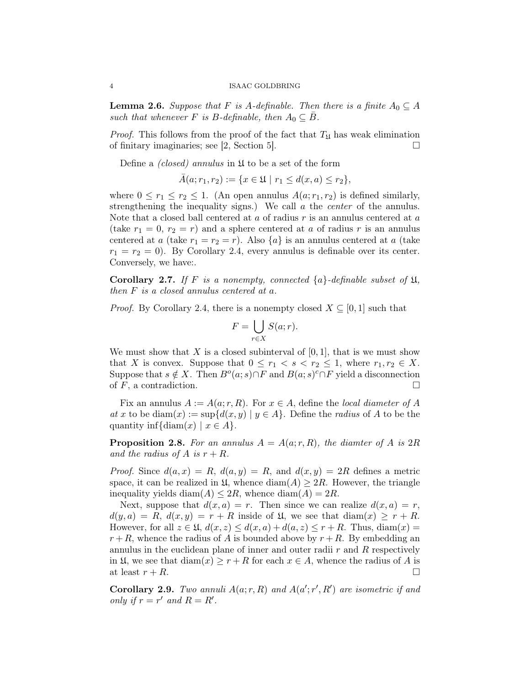#### 4 ISAAC GOLDBRING

**Lemma 2.6.** Suppose that F is A-definable. Then there is a finite  $A_0 \subseteq A$ such that whenever F is B-definable, then  $A_0 \subseteq \overline{B}$ .

*Proof.* This follows from the proof of the fact that  $T_{\rm M}$  has weak elimination of finitary imaginaries; see [2, Section 5].  $\Box$ 

Define a *(closed)* annulus in  $\mathfrak U$  to be a set of the form

$$
\bar{A}(a; r_1, r_2) := \{ x \in \mathfrak{U} \mid r_1 \le d(x, a) \le r_2 \},
$$

where  $0 \leq r_1 \leq r_2 \leq 1$ . (An open annulus  $A(a; r_1, r_2)$  is defined similarly, strengthening the inequality signs.) We call  $\alpha$  the *center* of the annulus. Note that a closed ball centered at  $a$  of radius  $r$  is an annulus centered at  $a$ (take  $r_1 = 0$ ,  $r_2 = r$ ) and a sphere centered at a of radius r is an annulus centered at a (take  $r_1 = r_2 = r$ ). Also  $\{a\}$  is an annulus centered at a (take  $r_1 = r_2 = 0$ ). By Corollary 2.4, every annulus is definable over its center. Conversely, we have:.

**Corollary 2.7.** If F is a nonempty, connected  $\{a\}$ -definable subset of  $\mathfrak{U}$ , then F is a closed annulus centered at a.

*Proof.* By Corollary 2.4, there is a nonempty closed  $X \subseteq [0,1]$  such that

$$
F = \bigcup_{r \in X} S(a; r).
$$

We must show that X is a closed subinterval of  $[0, 1]$ , that is we must show that X is convex. Suppose that  $0 \leq r_1 < s < r_2 \leq 1$ , where  $r_1, r_2 \in X$ . Suppose that  $s \notin X$ . Then  $B^o(a; s) \cap F$  and  $B(a; s)^c \cap F$  yield a disconnection of  $F$ , a contradiction.

Fix an annulus  $A := A(a; r, R)$ . For  $x \in A$ , define the local diameter of A at x to be diam(x) :=  $\sup\{d(x,y) \mid y \in A\}$ . Define the *radius* of A to be the quantity inf{diam(x) |  $x \in A$ .

**Proposition 2.8.** For an annulus  $A = A(a; r, R)$ , the diamter of A is  $2R$ and the radius of A is  $r + R$ .

*Proof.* Since  $d(a, x) = R$ ,  $d(a, y) = R$ , and  $d(x, y) = 2R$  defines a metric space, it can be realized in  $\mathfrak{U}$ , whence  $\text{diam}(A) \geq 2R$ . However, the triangle inequality yields diam( $A$ )  $\leq 2R$ , whence diam( $A$ ) = 2R.

Next, suppose that  $d(x, a) = r$ . Then since we can realize  $d(x, a) = r$ ,  $d(y, a) = R$ ,  $d(x, y) = r + R$  inside of  $\mathfrak{U}$ , we see that  $diam(x) \geq r + R$ . However, for all  $z \in \mathfrak{U}$ ,  $d(x, z) \leq d(x, a) + d(a, z) \leq r + R$ . Thus,  $diam(x) =$  $r + R$ , whence the radius of A is bounded above by  $r + R$ . By embedding an annulus in the euclidean plane of inner and outer radii  $r$  and  $R$  respectively in  $\mathfrak{U}$ , we see that  $\text{diam}(x) \geq r + R$  for each  $x \in A$ , whence the radius of A is at least  $r + R$ .

Corollary 2.9. Two annuli  $A(a; r, R)$  and  $A(a'; r', R')$  are isometric if and only if  $r = r'$  and  $R = R'$ .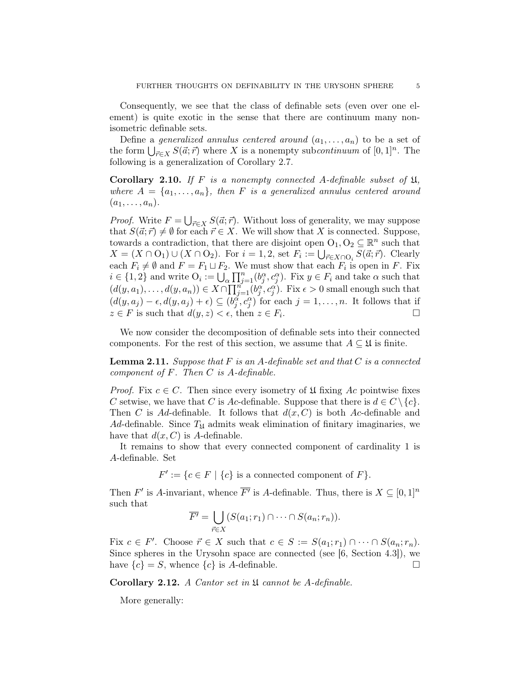Consequently, we see that the class of definable sets (even over one element) is quite exotic in the sense that there are continuum many nonisometric definable sets.

Define a *generalized annulus centered around*  $(a_1, \ldots, a_n)$  to be a set of the form  $\bigcup_{\vec{r} \in X} S(\vec{a}; \vec{r})$  where X is a nonempty subcontinuum of  $[0, 1]^n$ . The following is a generalization of Corollary 2.7.

Corollary 2.10. If F is a nonempty connected A-definable subset of  $\mathfrak{U}$ , where  $A = \{a_1, \ldots, a_n\}$ , then F is a generalized annulus centered around  $(a_1, \ldots, a_n).$ 

*Proof.* Write  $F = \bigcup_{\vec{r} \in X} S(\vec{a}; \vec{r})$ . Without loss of generality, we may suppose that  $S(\vec{a}; \vec{r}) \neq \emptyset$  for each  $\vec{r} \in X$ . We will show that X is connected. Suppose, towards a contradiction, that there are disjoint open  $O_1, O_2 \subseteq \mathbb{R}^n$  such that  $X = (X \cap O_1) \cup (X \cap O_2)$ . For  $i = 1, 2$ , set  $F_i := \bigcup_{\vec{r} \in X \cap O_i} S(\vec{a}; \vec{r})$ . Clearly each  $F_i \neq \emptyset$  and  $F = F_1 \sqcup F_2$ . We must show that each  $F_i$  is open in F. Fix  $i \in \{1,2\}$  and write  $O_i := \bigcup_{\alpha} \prod_{j=1}^n (b_j^{\alpha}, c_j^{\alpha})$ . Fix  $y \in F_i$  and take  $\alpha$  such that  $(d(y, a_1), \ldots, d(y, a_n)) \in X \cap \prod_{j=1}^n (b_j^{\alpha}, c_j^{\alpha}).$  Fix  $\epsilon > 0$  small enough such that  $(d(y, a_j) - \epsilon, d(y, a_j) + \epsilon) \subseteq (b_j^{\alpha}, c_j^{\alpha})$  for each  $j = 1, \ldots, n$ . It follows that if  $z \in F$  is such that  $d(y, z) < \epsilon$ , then  $z \in F_i$ . . В последните последните под на приема с последните под на приема с последните под на приема с под на приема<br>В последните под на приема с под на приема с под на приема с под на приема с под на приема с под на приема с п

We now consider the decomposition of definable sets into their connected components. For the rest of this section, we assume that  $A \subseteq \mathfrak{U}$  is finite.

**Lemma 2.11.** Suppose that  $F$  is an A-definable set and that  $C$  is a connected component of  $F$ . Then  $C$  is  $A$ -definable.

*Proof.* Fix  $c \in C$ . Then since every isometry of  $\mathfrak U$  fixing Ac pointwise fixes C setwise, we have that C is Ac-definable. Suppose that there is  $d \in C \setminus \{c\}.$ Then C is Ad-definable. It follows that  $d(x, C)$  is both Ac-definable and Ad-definable. Since  $T_{\mathfrak{U}}$  admits weak elimination of finitary imaginaries, we have that  $d(x, C)$  is A-definable.

It remains to show that every connected component of cardinality 1 is A-definable. Set

 $F' := \{c \in F \mid \{c\} \text{ is a connected component of } F\}.$ 

Then F' is A-invariant, whence  $\overline{F'}$  is A-definable. Thus, there is  $X \subseteq [0,1]^n$ such that

$$
\overline{F'} = \bigcup_{\vec{r} \in X} (S(a_1; r_1) \cap \cdots \cap S(a_n; r_n)).
$$

Fix  $c \in F'$ . Choose  $\vec{r} \in X$  such that  $c \in S := S(a_1; r_1) \cap \cdots \cap S(a_n; r_n)$ . Since spheres in the Urysohn space are connected (see [6, Section 4.3]), we have  ${c} = S$ , whence  ${c}$  is A-definable.

**Corollary 2.12.** A Cantor set in  $\mathfrak U$  cannot be A-definable.

More generally: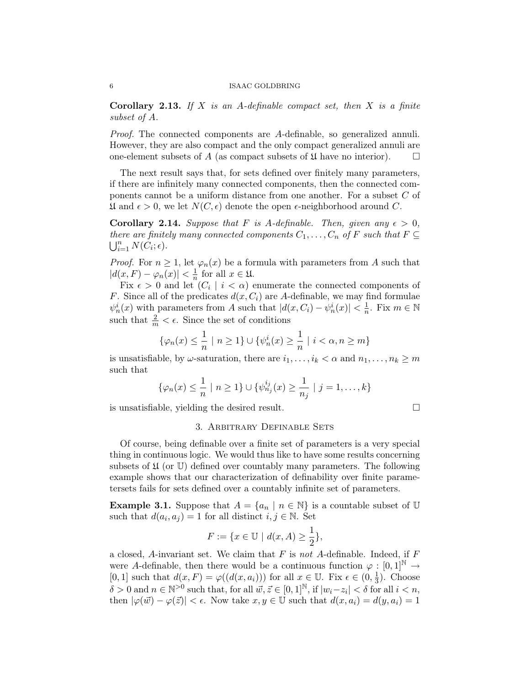**Corollary 2.13.** If X is an A-definable compact set, then X is a finite subset of A.

Proof. The connected components are A-definable, so generalized annuli. However, they are also compact and the only compact generalized annuli are one-element subsets of A (as compact subsets of  $\mathfrak U$  have no interior).  $\Box$ 

The next result says that, for sets defined over finitely many parameters, if there are infinitely many connected components, then the connected components cannot be a uniform distance from one another. For a subset C of  $\mathfrak U$  and  $\epsilon > 0$ , we let  $N(C, \epsilon)$  denote the open  $\epsilon$ -neighborhood around C.

**Corollary 2.14.** Suppose that F is A-definable. Then, given any  $\epsilon > 0$ , there are finitely many connected components  $C_1, \ldots, C_n$  of F such that  $F \subseteq$  $\bigcup_{i=1}^n N(\check{C}_i; \epsilon).$ 

*Proof.* For  $n \geq 1$ , let  $\varphi_n(x)$  be a formula with parameters from A such that  $|d(x,F) - \varphi_n(x)| < \frac{1}{n}$  $\frac{1}{n}$  for all  $x \in \mathfrak{U}$ .

Fix  $\epsilon > 0$  and let  $(C_i \mid i < \alpha)$  enumerate the connected components of F. Since all of the predicates  $d(x, C_i)$  are A-definable, we may find formulae  $\psi_n^i(x)$  with parameters from A such that  $|d(x, C_i) - \psi_n^i(x)| < \frac{1}{n}$  $\frac{1}{n}$ . Fix  $m \in \mathbb{N}$ such that  $\frac{2}{m} < \epsilon$ . Since the set of conditions

$$
\{\varphi_n(x)\leq \frac{1}{n}\ |\ n\geq 1\}\cup\{\psi_n^i(x)\geq \frac{1}{n}\ |\ i<\alpha, n\geq m\}
$$

is unsatisfiable, by  $\omega$ -saturation, there are  $i_1, \ldots, i_k < \alpha$  and  $n_1, \ldots, n_k \geq m$ such that

$$
\{\varphi_n(x) \le \frac{1}{n} \mid n \ge 1\} \cup \{\psi_{n_j}^{i_j}(x) \ge \frac{1}{n_j} \mid j = 1, \dots, k\}
$$

is unsatisfiable, yielding the desired result.

$$
\qquad \qquad \Box
$$

### 3. Arbitrary Definable Sets

Of course, being definable over a finite set of parameters is a very special thing in continuous logic. We would thus like to have some results concerning subsets of  $\mathfrak U$  (or U) defined over countably many parameters. The following example shows that our characterization of definability over finite parametersets fails for sets defined over a countably infinite set of parameters.

**Example 3.1.** Suppose that  $A = \{a_n | n \in \mathbb{N}\}\$ is a countable subset of  $\mathbb{U}$ such that  $d(a_i, a_j) = 1$  for all distinct  $i, j \in \mathbb{N}$ . Set

$$
F := \{ x \in \mathbb{U} \mid d(x, A) \ge \frac{1}{2} \},\
$$

a closed, A-invariant set. We claim that  $F$  is not A-definable. Indeed, if  $F$ were A-definable, then there would be a continuous function  $\varphi : [0,1]^{\mathbb{N}} \to$ [0, 1] such that  $d(x, F) = \varphi((d(x, a_i)))$  for all  $x \in \mathbb{U}$ . Fix  $\epsilon \in (0, \frac{1}{3})$  $\frac{1}{3}$ ). Choose  $\delta > 0$  and  $n \in \mathbb{N}^{>0}$  such that, for all  $\vec{w}, \vec{z} \in [0, 1]^{\mathbb{N}}$ , if  $|w_i - z_i| < \delta$  for all  $i < n$ , then  $|\varphi(\vec{w}) - \varphi(\vec{z})| < \epsilon$ . Now take  $x, y \in \mathbb{U}$  such that  $d(x, a_i) = d(y, a_i) = 1$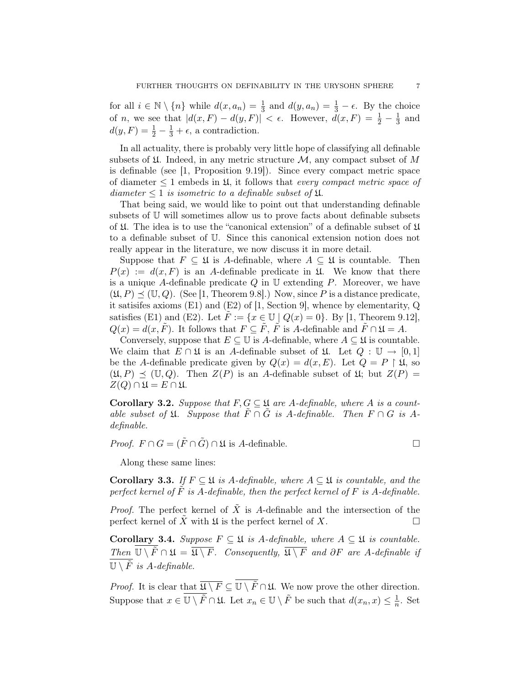for all  $i \in \mathbb{N} \setminus \{n\}$  while  $d(x, a_n) = \frac{1}{3}$  and  $d(y, a_n) = \frac{1}{3} - \epsilon$ . By the choice of *n*, we see that  $|d(x, F) - d(y, F)| < \epsilon$ . However,  $\tilde{d}(x, F) = \frac{1}{2} - \frac{1}{3}$  $\frac{1}{3}$  and  $d(y, F) = \frac{1}{2} - \frac{1}{3} + \epsilon$ , a contradiction.

In all actuality, there is probably very little hope of classifying all definable subsets of  $\mathfrak U$ . Indeed, in any metric structure  $\mathcal M$ , any compact subset of M is definable (see [1, Proposition 9.19]). Since every compact metric space of diameter  $\leq 1$  embeds in  $\mathfrak{U}$ , it follows that *every compact metric space of* diameter  $\leq 1$  is isometric to a definable subset of  $\mathfrak{U}$ .

That being said, we would like to point out that understanding definable subsets of U will sometimes allow us to prove facts about definable subsets of  $\mathfrak U$ . The idea is to use the "canonical extension" of a definable subset of  $\mathfrak U$ to a definable subset of U. Since this canonical extension notion does not really appear in the literature, we now discuss it in more detail.

Suppose that  $F \subseteq \mathfrak{U}$  is A-definable, where  $A \subseteq \mathfrak{U}$  is countable. Then  $P(x) := d(x, F)$  is an A-definable predicate in  $\mathfrak{U}$ . We know that there is a unique A-definable predicate  $Q$  in  $\mathbb U$  extending  $P$ . Moreover, we have  $(\mathfrak{U}, P) \preceq (\mathbb{U}, Q)$ . (See [1, Theorem 9.8].) Now, since P is a distance predicate, it satisifes axioms  $(E1)$  and  $(E2)$  of [1, Section 9], whence by elementarity, Q satisfies (E1) and (E2). Let  $\tilde{F} := \{x \in \mathbb{U} \mid Q(x) = 0\}$ . By [1, Theorem 9.12],  $Q(x) = d(x, \tilde{F})$ . It follows that  $F \subseteq \tilde{F}$ ,  $\tilde{F}$  is A-definable and  $\tilde{F} \cap \mathfrak{U} = A$ .

Conversely, suppose that  $E \subseteq \mathbb{U}$  is A-definable, where  $A \subseteq \mathfrak{U}$  is countable. We claim that  $E \cap \mathfrak{U}$  is an A-definable subset of  $\mathfrak{U}$ . Let  $Q : \mathbb{U} \to [0,1]$ be the A-definable predicate given by  $Q(x) = d(x, E)$ . Let  $Q = P \upharpoonright \mathfrak{U}$ , so  $(\mathfrak{U}, P) \preceq (\mathbb{U}, Q)$ . Then  $Z(P)$  is an A-definable subset of  $\mathfrak{U}$ ; but  $Z(P) =$  $Z(Q) \cap \mathfrak{U} = E \cap \mathfrak{U}.$ 

Corollary 3.2. Suppose that  $F, G \subseteq \mathfrak{U}$  are A-definable, where A is a countable subset of  $\mathfrak{U}$ . Suppose that  $\tilde{F} \cap \tilde{G}$  is A-definable. Then  $F \cap G$  is Adefinable.

*Proof.*  $F \cap G = (\tilde{F} \cap \tilde{G}) \cap \mathfrak{U}$  is A-definable.

Along these same lines:

Corollary 3.3. If  $F \subseteq \mathfrak{U}$  is A-definable, where  $A \subseteq \mathfrak{U}$  is countable, and the perfect kernel of  $\tilde{F}$  is A-definable, then the perfect kernel of  $F$  is A-definable.

*Proof.* The perfect kernel of  $\tilde{X}$  is A-definable and the intersection of the perfect kernel of X with  $\mathfrak U$  is the perfect kernel of X.

Corollary 3.4. Suppose  $F \subseteq \mathfrak{U}$  is A-definable, where  $A \subseteq \mathfrak{U}$  is countable. Then  $\overline{\mathbb{U} \setminus \tilde{F}} \cap \mathfrak{U} = \overline{\mathfrak{U} \setminus F}$ . Consequently,  $\overline{\mathfrak{U} \setminus F}$  and  $\partial F$  are A-definable if  $\overline{\mathbb{U}\setminus\tilde{F}}$  is A-definable.

*Proof.* It is clear that  $\overline{\mathfrak{U} \setminus F} \subseteq \overline{\mathfrak{U} \setminus F} \cap \mathfrak{U}$ . We now prove the other direction. Suppose that  $x \in \overline{\mathbb{U} \setminus \tilde{F}} \cap \mathfrak{U}$ . Let  $x_n \in \mathbb{U} \setminus \tilde{F}$  be such that  $d(x_n, x) \leq \frac{1}{n}$  $\frac{1}{n}$ . Set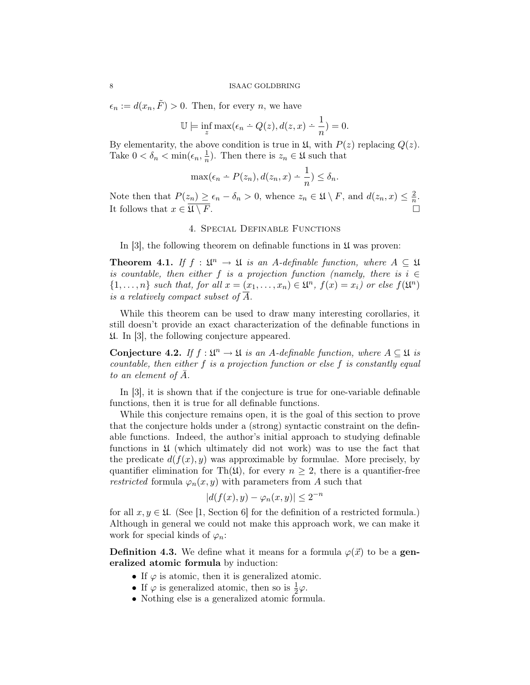$\epsilon_n := d(x_n, \tilde{F}) > 0$ . Then, for every *n*, we have

$$
\mathbb{U}\models \inf_z \max(\epsilon_n \div Q(z), d(z,x) \div \frac{1}{n})=0.
$$

By elementarity, the above condition is true in  $\mathfrak{U}$ , with  $P(z)$  replacing  $Q(z)$ . Take  $0 < \delta_n < \min(\epsilon_n, \frac{1}{n})$  $\frac{1}{n}$ ). Then there is  $z_n \in \mathfrak{U}$  such that

$$
\max(\epsilon_n \div P(z_n), d(z_n, x) \div \frac{1}{n}) \le \delta_n.
$$

Note then that  $P(z_n) \geq \epsilon_n - \delta_n > 0$ , whence  $z_n \in \mathfrak{U} \setminus F$ , and  $d(z_n, x) \leq \frac{2}{n}$  $\frac{2}{n}$ . It follows that  $x \in \overline{\mathfrak{U} \setminus F}$ .

# 4. Special Definable Functions

In [3], the following theorem on definable functions in  $\mathfrak U$  was proven:

**Theorem 4.1.** If  $f : \mathfrak{U}^n \to \mathfrak{U}$  is an A-definable function, where  $A \subseteq \mathfrak{U}$ is countable, then either f is a projection function (namely, there is  $i \in$  $\{1,\ldots,n\}$  such that, for all  $x=(x_1,\ldots,x_n)\in\mathfrak{U}^n$ ,  $f(x)=x_i$ ) or else  $f(\mathfrak{U}^n)$ is a relatively compact subset of  $\overline{A}$ .

While this theorem can be used to draw many interesting corollaries, it still doesn't provide an exact characterization of the definable functions in U. In [3], the following conjecture appeared.

Conjecture 4.2. If  $f: \mathfrak{L}^n \to \mathfrak{L}$  is an A-definable function, where  $A \subseteq \mathfrak{L}$  is countable, then either f is a projection function or else f is constantly equal to an element of  $\bar{A}$ .

In [3], it is shown that if the conjecture is true for one-variable definable functions, then it is true for all definable functions.

While this conjecture remains open, it is the goal of this section to prove that the conjecture holds under a (strong) syntactic constraint on the definable functions. Indeed, the author's initial approach to studying definable functions in  $\mathfrak U$  (which ultimately did not work) was to use the fact that the predicate  $d(f(x), y)$  was approximable by formulae. More precisely, by quantifier elimination for Th( $\mathfrak{U}$ ), for every  $n \geq 2$ , there is a quantifier-free restricted formula  $\varphi_n(x, y)$  with parameters from A such that

$$
|d(f(x), y) - \varphi_n(x, y)| \le 2^{-n}
$$

for all  $x, y \in \mathfrak{U}$ . (See [1, Section 6] for the definition of a restricted formula.) Although in general we could not make this approach work, we can make it work for special kinds of  $\varphi_n$ :

**Definition 4.3.** We define what it means for a formula  $\varphi(\vec{x})$  to be a generalized atomic formula by induction:

- If  $\varphi$  is atomic, then it is generalized atomic.
- If  $\varphi$  is generalized atomic, then so is  $\frac{1}{2}\varphi$ .
- Nothing else is a generalized atomic formula.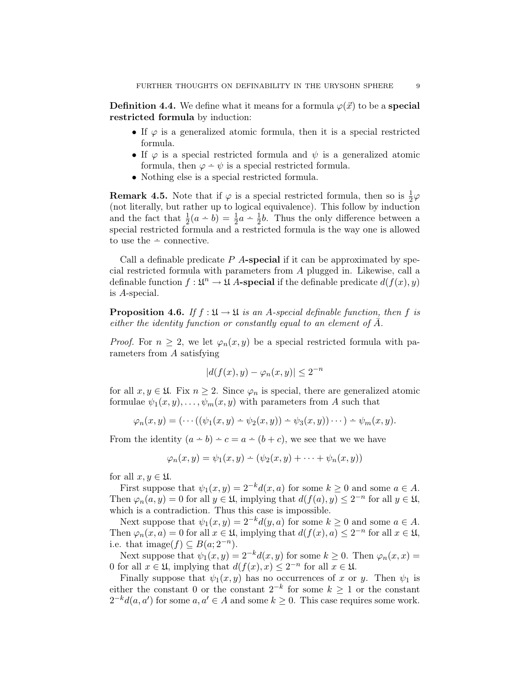**Definition 4.4.** We define what it means for a formula  $\varphi(\vec{x})$  to be a **special** restricted formula by induction:

- If  $\varphi$  is a generalized atomic formula, then it is a special restricted formula.
- If  $\varphi$  is a special restricted formula and  $\psi$  is a generalized atomic formula, then  $\varphi - \psi$  is a special restricted formula.
- Nothing else is a special restricted formula.

**Remark 4.5.** Note that if  $\varphi$  is a special restricted formula, then so is  $\frac{1}{2}\varphi$ (not literally, but rather up to logical equivalence). This follow by induction and the fact that  $\frac{1}{2}(a - b) = \frac{1}{2}a - \frac{1}{2}b$ . Thus the only difference between a special restricted formula and a restricted formula is the way one is allowed  $\frac{1}{1}$  to use the  $\div$  connective.

Call a definable predicate  $P$  A-special if it can be approximated by special restricted formula with parameters from A plugged in. Likewise, call a definable function  $f: \mathfrak{U}^n \to \mathfrak{U}$  A-special if the definable predicate  $d(f(x), y)$ is A-special.

**Proposition 4.6.** If  $f : \mathfrak{U} \to \mathfrak{U}$  is an A-special definable function, then f is either the identity function or constantly equal to an element of  $\bar{A}$ .

*Proof.* For  $n \geq 2$ , we let  $\varphi_n(x, y)$  be a special restricted formula with parameters from A satisfying

$$
|d(f(x), y) - \varphi_n(x, y)| \le 2^{-n}
$$

for all  $x, y \in \mathfrak{U}$ . Fix  $n \geq 2$ . Since  $\varphi_n$  is special, there are generalized atomic formulae  $\psi_1(x, y), \ldots, \psi_m(x, y)$  with parameters from A such that

$$
\varphi_n(x,y)=(\cdots((\psi_1(x,y)-\psi_2(x,y))-\psi_3(x,y))\cdots)-\psi_m(x,y).
$$

From the identity  $(a - b) - c = a - (b + c)$ , we see that we we have

$$
\varphi_n(x,y) = \psi_1(x,y) - (\psi_2(x,y) + \cdots + \psi_n(x,y))
$$

for all  $x, y \in \mathfrak{U}$ .

First suppose that  $\psi_1(x, y) = 2^{-k} d(x, a)$  for some  $k \geq 0$  and some  $a \in A$ . Then  $\varphi_n(a, y) = 0$  for all  $y \in \mathfrak{U}$ , implying that  $d(f(a), y) \leq 2^{-n}$  for all  $y \in \mathfrak{U}$ , which is a contradiction. Thus this case is impossible.

Next suppose that  $\psi_1(x, y) = 2^{-k} d(y, a)$  for some  $k \geq 0$  and some  $a \in A$ . Then  $\varphi_n(x, a) = 0$  for all  $x \in \mathfrak{U}$ , implying that  $d(f(x), a) \leq 2^{-n}$  for all  $x \in \mathfrak{U}$ , i.e. that image( $f$ )  $\subseteq B(a; 2^{-n})$ .

Next suppose that  $\psi_1(x, y) = 2^{-k} d(x, y)$  for some  $k \geq 0$ . Then  $\varphi_n(x, x) =$ 0 for all  $x \in \mathfrak{U}$ , implying that  $d(f(x), x) \leq 2^{-n}$  for all  $x \in \mathfrak{U}$ .

Finally suppose that  $\psi_1(x, y)$  has no occurrences of x or y. Then  $\psi_1$  is either the constant 0 or the constant  $2^{-k}$  for some  $k \geq 1$  or the constant  $2^{-k}d(a, a')$  for some  $a, a' \in A$  and some  $k \geq 0$ . This case requires some work.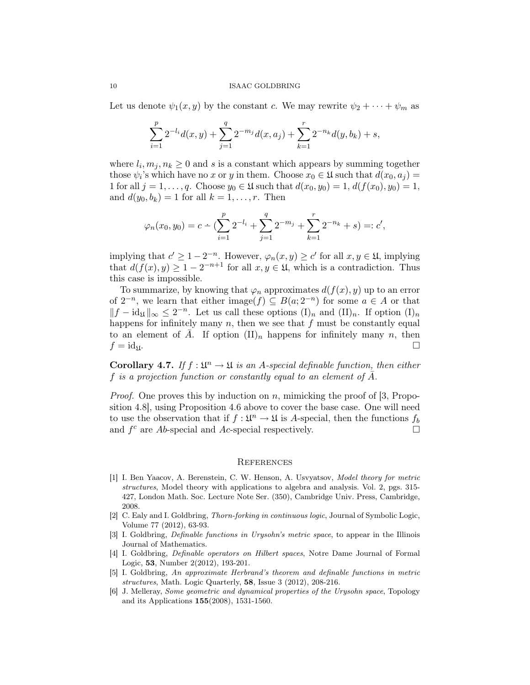#### 10 ISAAC GOLDBRING

Let us denote  $\psi_1(x, y)$  by the constant c. We may rewrite  $\psi_2 + \cdots + \psi_m$  as

$$
\sum_{i=1}^{p} 2^{-l_i} d(x, y) + \sum_{j=1}^{q} 2^{-m_j} d(x, a_j) + \sum_{k=1}^{r} 2^{-n_k} d(y, b_k) + s,
$$

where  $l_i, m_j, n_k \geq 0$  and s is a constant which appears by summing together those  $\psi_i$ 's which have no x or y in them. Choose  $x_0 \in \mathfrak{U}$  such that  $d(x_0, a_j) =$ 1 for all  $j = 1, ..., q$ . Choose  $y_0 \in \mathfrak{U}$  such that  $d(x_0, y_0) = 1, d(f(x_0), y_0) = 1$ , and  $d(y_0, b_k) = 1$  for all  $k = 1, \ldots, r$ . Then

$$
\varphi_n(x_0, y_0) = c \div \left( \sum_{i=1}^p 2^{-l_i} + \sum_{j=1}^q 2^{-m_j} + \sum_{k=1}^r 2^{-n_k} + s \right) =: c',
$$

implying that  $c' \geq 1 - 2^{-n}$ . However,  $\varphi_n(x, y) \geq c'$  for all  $x, y \in \mathfrak{U}$ , implying that  $d(f(x), y) \geq 1 - 2^{-n+1}$  for all  $x, y \in \mathfrak{U}$ , which is a contradiction. Thus this case is impossible.

To summarize, by knowing that  $\varphi_n$  approximates  $d(f(x), y)$  up to an error of  $2^{-n}$ , we learn that either image $(f) \subseteq B(a; 2^{-n})$  for some  $a \in A$  or that  $||f - id_{\mathfrak{U}}||_{\infty} \leq 2^{-n}$ . Let us call these options  $(I)_n$  and  $(II)_n$ . If option  $(I)_n$ happens for infinitely many  $n$ , then we see that  $f$  must be constantly equal to an element of A. If option  $(II)_n$  happens for infinitely many n, then  $f = id_{\mathfrak{U}}.$ 

**Corollary 4.7.** If  $f : \mathfrak{L}^n \to \mathfrak{L}$  is an A-special definable function, then either f is a projection function or constantly equal to an element of  $\bar{A}$ .

*Proof.* One proves this by induction on n, mimicking the proof of [3, Proposition 4.8], using Proposition 4.6 above to cover the base case. One will need to use the observation that if  $f: \mathfrak{U}^n \to \mathfrak{U}$  is A-special, then the functions  $f_b$ and  $f^c$  are Ab-special and Ac-special respectively.

#### **REFERENCES**

- [1] I. Ben Yaacov, A. Berenstein, C. W. Henson, A. Usvyatsov, Model theory for metric structures, Model theory with applications to algebra and analysis. Vol. 2, pgs. 315- 427, London Math. Soc. Lecture Note Ser. (350), Cambridge Univ. Press, Cambridge, 2008.
- [2] C. Ealy and I. Goldbring, Thorn-forking in continuous logic, Journal of Symbolic Logic, Volume 77 (2012), 63-93.
- [3] I. Goldbring, Definable functions in Urysohn's metric space, to appear in the Illinois Journal of Mathematics.
- [4] I. Goldbring, Definable operators on Hilbert spaces, Notre Dame Journal of Formal Logic, 53, Number 2(2012), 193-201.
- [5] I. Goldbring, An approximate Herbrand's theorem and definable functions in metric structures, Math. Logic Quarterly, 58, Issue 3 (2012), 208-216.
- [6] J. Melleray, Some geometric and dynamical properties of the Urysohn space, Topology and its Applications 155(2008), 1531-1560.